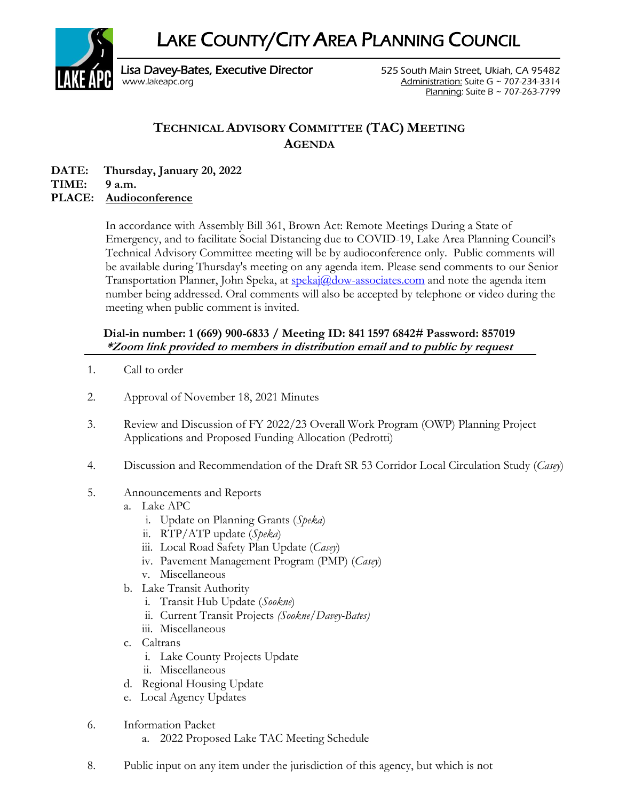LAKE COUNTY/CITY AREA PLANNING COUNCIL



Lisa Davey-Bates, Executive Director **525 South Main Street, Ukiah, CA 95482** [www.lakeapc.org](http://www.lakeapc.org/) Administration: Suite G ~ 707-234-3314 Planning: Suite B ~ 707-263-7799

## **TECHNICAL ADVISORY COMMITTEE (TAC) MEETING AGENDA**

**DATE: Thursday, January 20, 2022**

**TIME: 9 a.m.**

## **PLACE: Audioconference**

In accordance with Assembly Bill 361, Brown Act: Remote Meetings During a State of Emergency, and to facilitate Social Distancing due to COVID-19, Lake Area Planning Council's Technical Advisory Committee meeting will be by audioconference only. Public comments will be available during Thursday's meeting on any agenda item. Please send comments to our Senior Transportation Planner, John Speka, at  $\frac{\text{spekaj}(a)}{\text{down} \cdot \text{associates.com}}$  and note the agenda item number being addressed. Oral comments will also be accepted by telephone or video during the meeting when public comment is invited.

## **Dial-in number: 1 (669) 900-6833 / Meeting ID: 841 1597 6842# Password: 857019 \*Zoom link provided to members in distribution email and to public by request**

- 1. Call to order
- 2. Approval of November 18, 2021 Minutes
- 3. Review and Discussion of FY 2022/23 Overall Work Program (OWP) Planning Project Applications and Proposed Funding Allocation (Pedrotti)
- 4. Discussion and Recommendation of the Draft SR 53 Corridor Local Circulation Study (*Casey*)
- 5. Announcements and Reports
	- a. Lake APC
		- i. Update on Planning Grants (*Speka*)
		- ii. RTP/ATP update (*Speka*)
		- iii. Local Road Safety Plan Update (*Casey*)
		- iv. Pavement Management Program (PMP) (*Casey*)
		- v. Miscellaneous
	- b. Lake Transit Authority
		- i. Transit Hub Update (*Sookne*)
		- ii. Current Transit Projects *(Sookne/Davey-Bates)*
		- iii. Miscellaneous
	- c. Caltrans
		- i. Lake County Projects Update
		- ii. Miscellaneous
	- d. Regional Housing Update
	- e. Local Agency Updates
- 6. Information Packet
	- a. 2022 Proposed Lake TAC Meeting Schedule
- 8. Public input on any item under the jurisdiction of this agency, but which is not